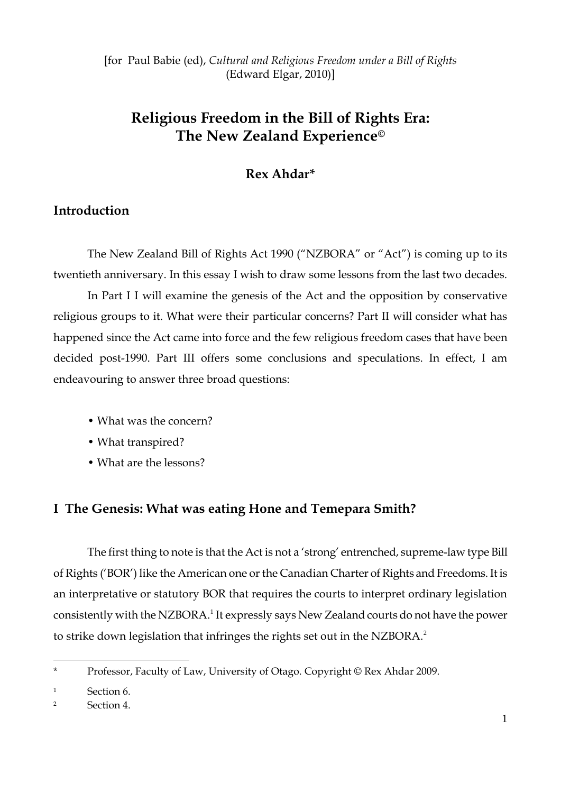[for Paul Babie (ed), *Cultural and Religious Freedom under a Bill of Rights* (Edward Elgar, 2010)]

# **Religious Freedom in the Bill of Rights Era: The New Zealand Experience©**

# **Rex Ahdar\***

# **Introduction**

The New Zealand Bill of Rights Act 1990 ("NZBORA" or "Act") is coming up to its twentieth anniversary. In this essay I wish to draw some lessons from the last two decades.

In Part I I will examine the genesis of the Act and the opposition by conservative religious groups to it. What were their particular concerns? Part II will consider what has happened since the Act came into force and the few religious freedom cases that have been decided post-1990. Part III offers some conclusions and speculations. In effect, I am endeavouring to answer three broad questions:

- What was the concern?
- What transpired?
- What are the lessons?

### **I The Genesis: What was eating Hone and Temepara Smith?**

The first thing to note is that the Act is not a 'strong' entrenched, supreme-law type Bill of Rights (‗BOR') like the American one or the Canadian Charter of Rights and Freedoms. It is an interpretative or statutory BOR that requires the courts to interpret ordinary legislation consistently with the NZBORA.<sup>1</sup> It expressly says New Zealand courts do not have the power to strike down legislation that infringes the rights set out in the NZBORA.<sup>2</sup>

<sup>\*</sup> Professor, Faculty of Law, University of Otago. Copyright © Rex Ahdar 2009.

<sup>1</sup> Section 6.

<sup>2</sup> Section 4.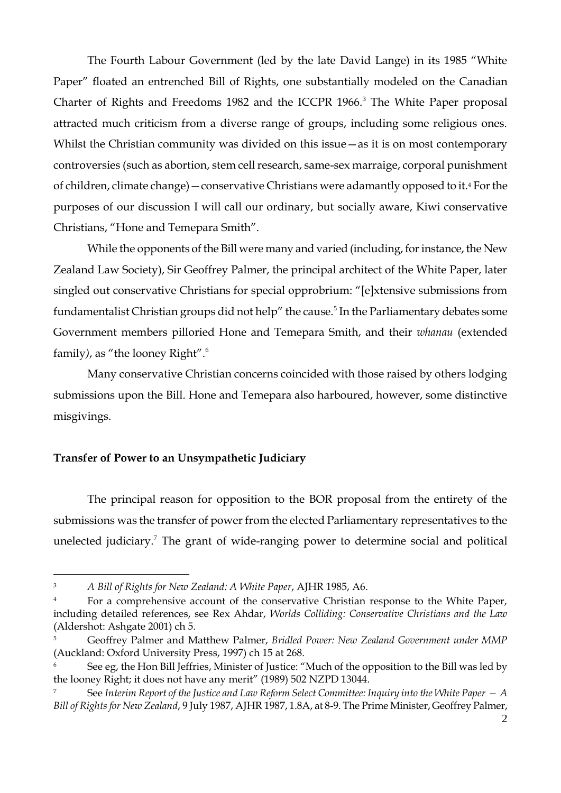The Fourth Labour Government (led by the late David Lange) in its 1985 "White Paper" floated an entrenched Bill of Rights, one substantially modeled on the Canadian Charter of Rights and Freedoms 1982 and the ICCPR 1966.<sup>3</sup> The White Paper proposal attracted much criticism from a diverse range of groups, including some religious ones. Whilst the Christian community was divided on this issue — as it is on most contemporary controversies (such as abortion, stem cell research, same-sex marraige, corporal punishment of children, climate change)—conservative Christians were adamantly opposed to it.<sup>4</sup> For the purposes of our discussion I will call our ordinary, but socially aware, Kiwi conservative Christians, "Hone and Temepara Smith".

While the opponents of the Bill were many and varied (including, for instance, the New Zealand Law Society), Sir Geoffrey Palmer, the principal architect of the White Paper, later singled out conservative Christians for special opprobrium: "[e]xtensive submissions from fundamentalist Christian groups did not help" the cause.<sup>5</sup> In the Parliamentary debates some Government members pilloried Hone and Temepara Smith, and their *whanau* (extended family), as "the looney Right".<sup>6</sup>

Many conservative Christian concerns coincided with those raised by others lodging submissions upon the Bill. Hone and Temepara also harboured, however, some distinctive misgivings.

### **Transfer of Power to an Unsympathetic Judiciary**

 $\overline{a}$ 

The principal reason for opposition to the BOR proposal from the entirety of the submissions was the transfer of power from the elected Parliamentary representatives to the unelected judiciary.<sup>7</sup> The grant of wide-ranging power to determine social and political

<sup>3</sup> *A Bill of Rights for New Zealand: A White Paper*, AJHR 1985, A6.

<sup>&</sup>lt;sup>4</sup> For a comprehensive account of the conservative Christian response to the White Paper, including detailed references, see Rex Ahdar, *Worlds Colliding: Conservative Christians and the Law* (Aldershot: Ashgate 2001) ch 5.

<sup>5</sup> Geoffrey Palmer and Matthew Palmer, *Bridled Power: New Zealand Government under MMP* (Auckland: Oxford University Press, 1997) ch 15 at 268.

See eg, the Hon Bill Jeffries, Minister of Justice: "Much of the opposition to the Bill was led by the looney Right; it does not have any merit" (1989) 502 NZPD 13044.

<sup>5</sup> See Interim Report of the Justice and Law Reform Select Committee: Inquiry into the White Paper  $-A$ *Bill of Rights for New Zealand*, 9 July 1987, AJHR 1987, 1.8A, at 8-9. The Prime Minister, Geoffrey Palmer,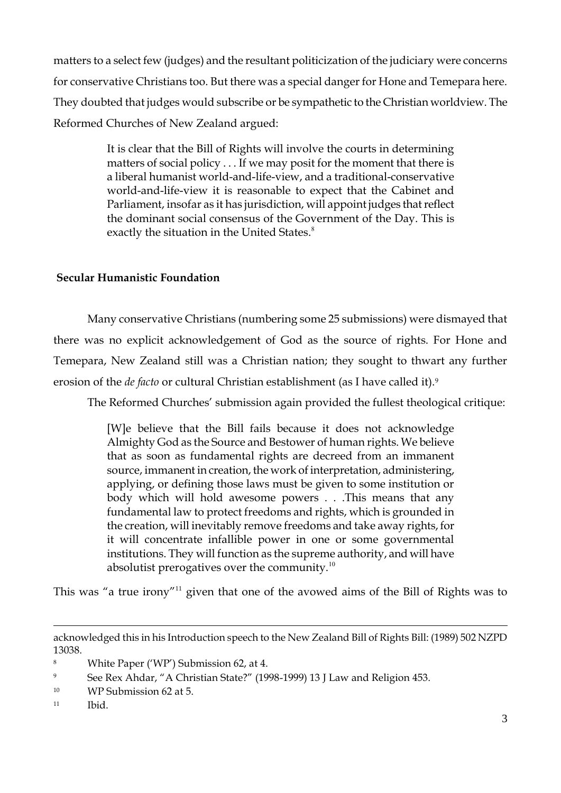matters to a select few (judges) and the resultant politicization of the judiciary were concerns for conservative Christians too. But there was a special danger for Hone and Temepara here. They doubted that judges would subscribe or be sympathetic to the Christian worldview. The Reformed Churches of New Zealand argued:

> It is clear that the Bill of Rights will involve the courts in determining matters of social policy . . . If we may posit for the moment that there is a liberal humanist world-and-life-view, and a traditional-conservative world-and-life-view it is reasonable to expect that the Cabinet and Parliament, insofar as it has jurisdiction, will appoint judges that reflect the dominant social consensus of the Government of the Day. This is exactly the situation in the United States.<sup>8</sup>

# **Secular Humanistic Foundation**

Many conservative Christians (numbering some 25 submissions) were dismayed that there was no explicit acknowledgement of God as the source of rights. For Hone and Temepara, New Zealand still was a Christian nation; they sought to thwart any further erosion of the *de facto* or cultural Christian establishment (as I have called it).<sup>9</sup>

The Reformed Churches' submission again provided the fullest theological critique:

[W]e believe that the Bill fails because it does not acknowledge Almighty God as the Source and Bestower of human rights. We believe that as soon as fundamental rights are decreed from an immanent source, immanent in creation, the work of interpretation, administering, applying, or defining those laws must be given to some institution or body which will hold awesome powers . . .This means that any fundamental law to protect freedoms and rights, which is grounded in the creation, will inevitably remove freedoms and take away rights, for it will concentrate infallible power in one or some governmental institutions. They will function as the supreme authority, and will have absolutist prerogatives over the community. $10$ 

This was "a true irony"<sup>11</sup> given that one of the avowed aims of the Bill of Rights was to

acknowledged this in his Introduction speech to the New Zealand Bill of Rights Bill: (1989) 502 NZPD 13038.

<sup>&</sup>lt;sup>8</sup> White Paper ('WP') Submission 62, at 4.

<sup>9</sup> See Rex Ahdar, "A Christian State?" (1998-1999) 13 J Law and Religion 453.

<sup>&</sup>lt;sup>10</sup> WP Submission 62 at 5.

<sup>11</sup> Ibid.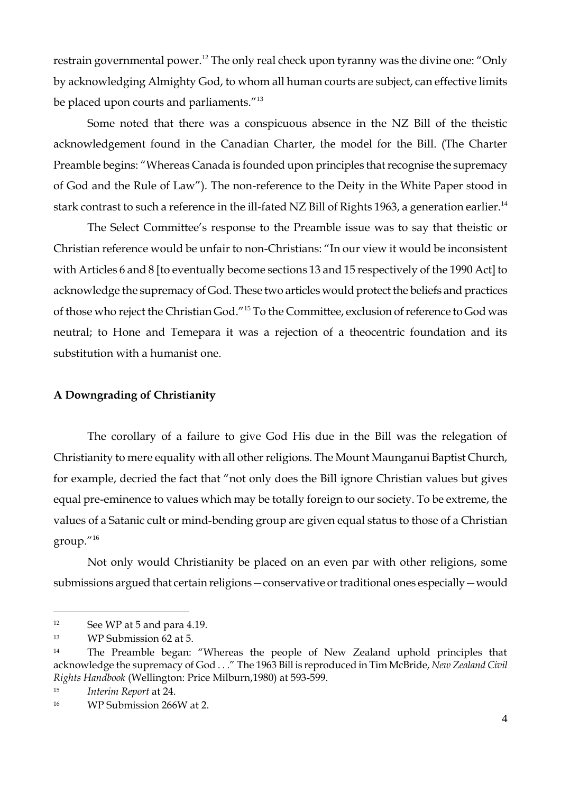restrain governmental power.<sup>12</sup> The only real check upon tyranny was the divine one: "Only by acknowledging Almighty God, to whom all human courts are subject, can effective limits be placed upon courts and parliaments."<sup>13</sup>

Some noted that there was a conspicuous absence in the NZ Bill of the theistic acknowledgement found in the Canadian Charter, the model for the Bill. (The Charter Preamble begins: "Whereas Canada is founded upon principles that recognise the supremacy of God and the Rule of Law"). The non-reference to the Deity in the White Paper stood in stark contrast to such a reference in the ill-fated NZ Bill of Rights 1963, a generation earlier.<sup>14</sup>

The Select Committee's response to the Preamble issue was to say that theistic or Christian reference would be unfair to non-Christians: "In our view it would be inconsistent with Articles 6 and 8 [to eventually become sections 13 and 15 respectively of the 1990 Act] to acknowledge the supremacy of God. These two articles would protect the beliefs and practices of those who reject the Christian God."<sup>15</sup> To the Committee, exclusion of reference to God was neutral; to Hone and Temepara it was a rejection of a theocentric foundation and its substitution with a humanist one.

#### **A Downgrading of Christianity**

The corollary of a failure to give God His due in the Bill was the relegation of Christianity to mere equality with all other religions. The Mount Maunganui Baptist Church, for example, decried the fact that "not only does the Bill ignore Christian values but gives equal pre-eminence to values which may be totally foreign to our society. To be extreme, the values of a Satanic cult or mind-bending group are given equal status to those of a Christian  $\text{group.}^{\prime\prime\,16}$ 

Not only would Christianity be placed on an even par with other religions, some submissions argued that certain religions—conservative or traditional ones especially—would

<sup>12</sup> See WP at 5 and para 4.19.

<sup>13</sup> WP Submission 62 at 5.

<sup>&</sup>lt;sup>14</sup> The Preamble began: "Whereas the people of New Zealand uphold principles that acknowledge the supremacy of God . . ." The 1963 Bill is reproduced in Tim McBride, *New Zealand Civil Rights Handbook* (Wellington: Price Milburn,1980) at 593-599.

<sup>15</sup> *Interim Report* at 24.

<sup>16</sup> WP Submission 266W at 2.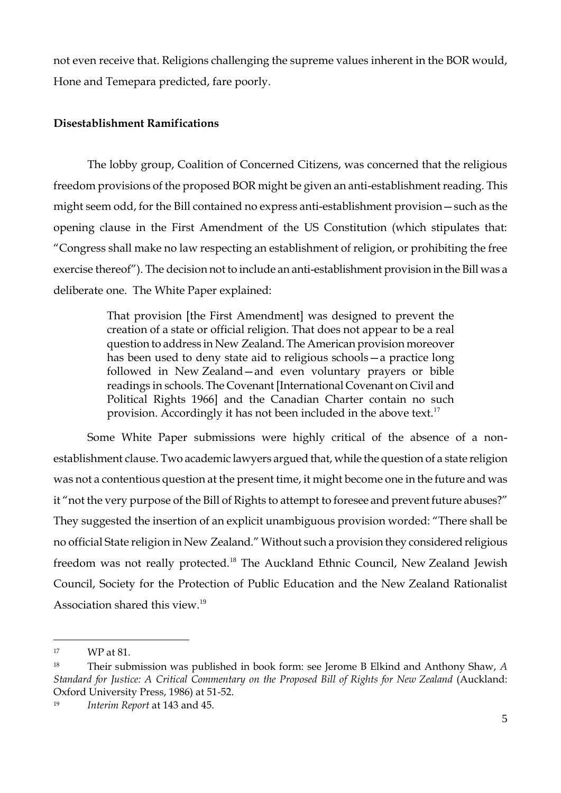not even receive that. Religions challenging the supreme values inherent in the BOR would, Hone and Temepara predicted, fare poorly.

#### **Disestablishment Ramifications**

The lobby group, Coalition of Concerned Citizens, was concerned that the religious freedom provisions of the proposed BOR might be given an anti-establishment reading. This might seem odd, for the Bill contained no express anti-establishment provision—such as the opening clause in the First Amendment of the US Constitution (which stipulates that: ―Congress shall make no law respecting an establishment of religion, or prohibiting the free exercise thereof"). The decision not to include an anti-establishment provision in the Bill was a deliberate one. The White Paper explained:

> That provision [the First Amendment] was designed to prevent the creation of a state or official religion. That does not appear to be a real question to address in New Zealand. The American provision moreover has been used to deny state aid to religious schools—a practice long followed in New Zealand—and even voluntary prayers or bible readings in schools. The Covenant [International Covenant on Civil and Political Rights 1966] and the Canadian Charter contain no such provision. Accordingly it has not been included in the above text.<sup>17</sup>

Some White Paper submissions were highly critical of the absence of a nonestablishment clause. Two academic lawyers argued that, while the question of a state religion was not a contentious question at the present time, it might become one in the future and was it "not the very purpose of the Bill of Rights to attempt to foresee and prevent future abuses?" They suggested the insertion of an explicit unambiguous provision worded: "There shall be no official State religion in New Zealand." Without such a provision they considered religious freedom was not really protected.<sup>18</sup> The Auckland Ethnic Council, New Zealand Jewish Council, Society for the Protection of Public Education and the New Zealand Rationalist Association shared this view.<sup>19</sup>

<sup>17</sup> WP at 81.

<sup>18</sup> Their submission was published in book form: see Jerome B Elkind and Anthony Shaw, *A Standard for Justice: A Critical Commentary on the Proposed Bill of Rights for New Zealand* (Auckland: Oxford University Press, 1986) at 51-52.

<sup>19</sup> *Interim Report* at 143 and 45.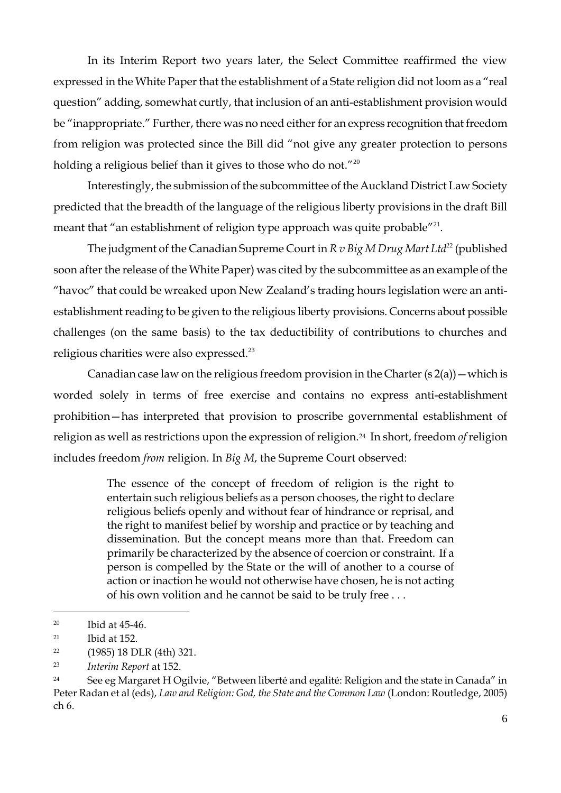In its Interim Report two years later, the Select Committee reaffirmed the view expressed in the White Paper that the establishment of a State religion did not loom as a "real question" adding, somewhat curtly, that inclusion of an anti-establishment provision would be "inappropriate." Further, there was no need either for an express recognition that freedom from religion was protected since the Bill did "not give any greater protection to persons holding a religious belief than it gives to those who do not." $^{20}$ 

Interestingly, the submission of the subcommittee of the Auckland District Law Society predicted that the breadth of the language of the religious liberty provisions in the draft Bill meant that "an establishment of religion type approach was quite probable" $^{21}$ .

The judgment of the Canadian Supreme Court in  $R v$  *Big M Drug Mart Ltd*<sup>22</sup> (published soon after the release of the White Paper) was cited by the subcommittee as an example of the "havoc" that could be wreaked upon New Zealand's trading hours legislation were an antiestablishment reading to be given to the religious liberty provisions. Concerns about possible challenges (on the same basis) to the tax deductibility of contributions to churches and religious charities were also expressed.<sup>23</sup>

Canadian case law on the religious freedom provision in the Charter  $(s 2(a))$  – which is worded solely in terms of free exercise and contains no express anti-establishment prohibition—has interpreted that provision to proscribe governmental establishment of religion as well as restrictions upon the expression of religion.24 In short, freedom *of* religion includes freedom *from* religion. In *Big M*, the Supreme Court observed:

> The essence of the concept of freedom of religion is the right to entertain such religious beliefs as a person chooses, the right to declare religious beliefs openly and without fear of hindrance or reprisal, and the right to manifest belief by worship and practice or by teaching and dissemination. But the concept means more than that. Freedom can primarily be characterized by the absence of coercion or constraint. If a person is compelled by the State or the will of another to a course of action or inaction he would not otherwise have chosen, he is not acting of his own volition and he cannot be said to be truly free . . .

<sup>20</sup> Ibid at 45-46.

 $21$  Ibid at 152.

<sup>22</sup> (1985) 18 DLR (4th) 321.

<sup>23</sup> *Interim Report* at 152.

<sup>&</sup>lt;sup>24</sup> See eg Margaret H Ogilvie, "Between liberté and egalité: Religion and the state in Canada" in Peter Radan et al (eds), *Law and Religion: God, the State and the Common Law* (London: Routledge, 2005) ch 6.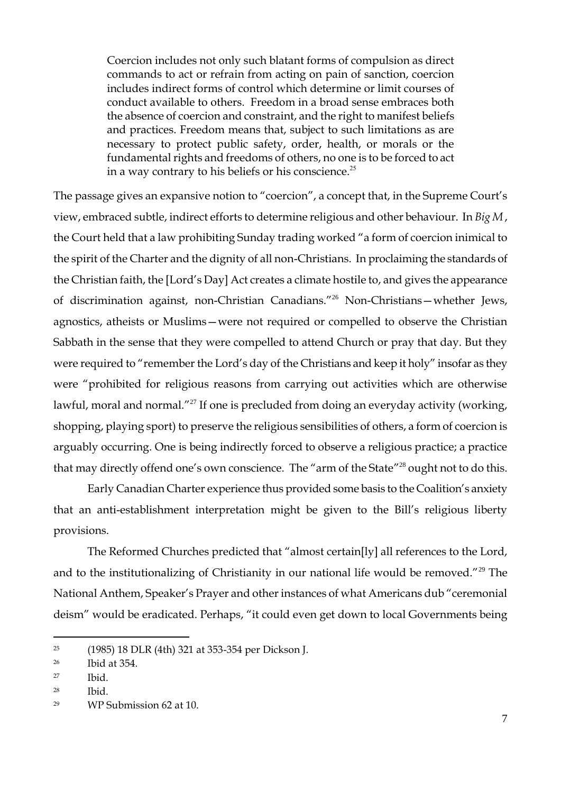Coercion includes not only such blatant forms of compulsion as direct commands to act or refrain from acting on pain of sanction, coercion includes indirect forms of control which determine or limit courses of conduct available to others. Freedom in a broad sense embraces both the absence of coercion and constraint, and the right to manifest beliefs and practices. Freedom means that, subject to such limitations as are necessary to protect public safety, order, health, or morals or the fundamental rights and freedoms of others, no one is to be forced to act in a way contrary to his beliefs or his conscience.<sup>25</sup>

The passage gives an expansive notion to "coercion", a concept that, in the Supreme Court's view, embraced subtle, indirect efforts to determine religious and other behaviour. In *Big M* , the Court held that a law prohibiting Sunday trading worked "a form of coercion inimical to the spirit of the Charter and the dignity of all non-Christians. In proclaiming the standards of the Christian faith, the [Lord's Day] Act creates a climate hostile to, and gives the appearance of discrimination against, non-Christian Canadians."<sup>26</sup> Non-Christians—whether Jews, agnostics, atheists or Muslims—were not required or compelled to observe the Christian Sabbath in the sense that they were compelled to attend Church or pray that day. But they were required to "remember the Lord's day of the Christians and keep it holy" insofar as they were "prohibited for religious reasons from carrying out activities which are otherwise lawful, moral and normal."<sup>27</sup> If one is precluded from doing an everyday activity (working, shopping, playing sport) to preserve the religious sensibilities of others, a form of coercion is arguably occurring. One is being indirectly forced to observe a religious practice; a practice that may directly offend one's own conscience. The "arm of the State"<sup>28</sup> ought not to do this.

Early Canadian Charter experience thus provided some basis to the Coalition's anxiety that an anti-establishment interpretation might be given to the Bill's religious liberty provisions.

The Reformed Churches predicted that "almost certain[ly] all references to the Lord, and to the institutionalizing of Christianity in our national life would be removed.<sup> $"29$ </sup> The National Anthem, Speaker's Prayer and other instances of what Americans dub "ceremonial deism" would be eradicated. Perhaps, "it could even get down to local Governments being

<sup>25</sup> (1985) 18 DLR (4th) 321 at 353-354 per Dickson J.

<sup>26</sup> Ibid at 354.

 $27$  Ibid.

<sup>28</sup> Ibid.

<sup>29</sup> WP Submission 62 at 10.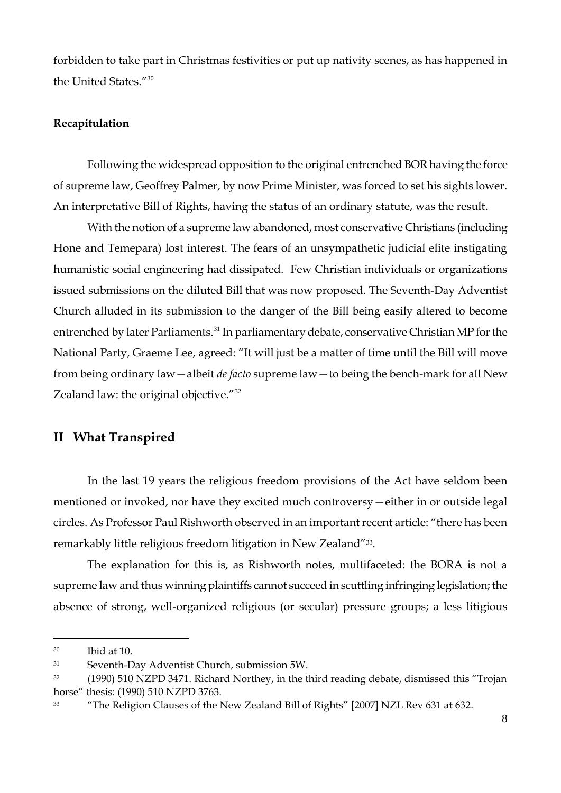forbidden to take part in Christmas festivities or put up nativity scenes, as has happened in the United States."30

#### **Recapitulation**

Following the widespread opposition to the original entrenched BOR having the force of supreme law, Geoffrey Palmer, by now Prime Minister, was forced to set his sights lower. An interpretative Bill of Rights, having the status of an ordinary statute, was the result.

With the notion of a supreme law abandoned, most conservative Christians (including Hone and Temepara) lost interest. The fears of an unsympathetic judicial elite instigating humanistic social engineering had dissipated. Few Christian individuals or organizations issued submissions on the diluted Bill that was now proposed. The Seventh-Day Adventist Church alluded in its submission to the danger of the Bill being easily altered to become entrenched by later Parliaments.<sup>31</sup> In parliamentary debate, conservative Christian MP for the National Party, Graeme Lee, agreed: "It will just be a matter of time until the Bill will move from being ordinary law—albeit *de facto* supreme law—to being the bench-mark for all New Zealand law: the original objective."<sup>32</sup>

## **II What Transpired**

In the last 19 years the religious freedom provisions of the Act have seldom been mentioned or invoked, nor have they excited much controversy—either in or outside legal circles. As Professor Paul Rishworth observed in an important recent article: "there has been remarkably little religious freedom litigation in New Zealand"33.

The explanation for this is, as Rishworth notes, multifaceted: the BORA is not a supreme law and thus winning plaintiffs cannot succeed in scuttling infringing legislation; the absence of strong, well-organized religious (or secular) pressure groups; a less litigious

<sup>30</sup> Ibid at 10.

<sup>31</sup> Seventh-Day Adventist Church, submission 5W.

<sup>&</sup>lt;sup>32</sup> (1990) 510 NZPD 3471. Richard Northey, in the third reading debate, dismissed this "Trojan horse" thesis: (1990) 510 NZPD 3763.

<sup>&</sup>lt;sup>33</sup> 
"The Religion Clauses of the New Zealand Bill of Rights" [2007] NZL Rev 631 at 632.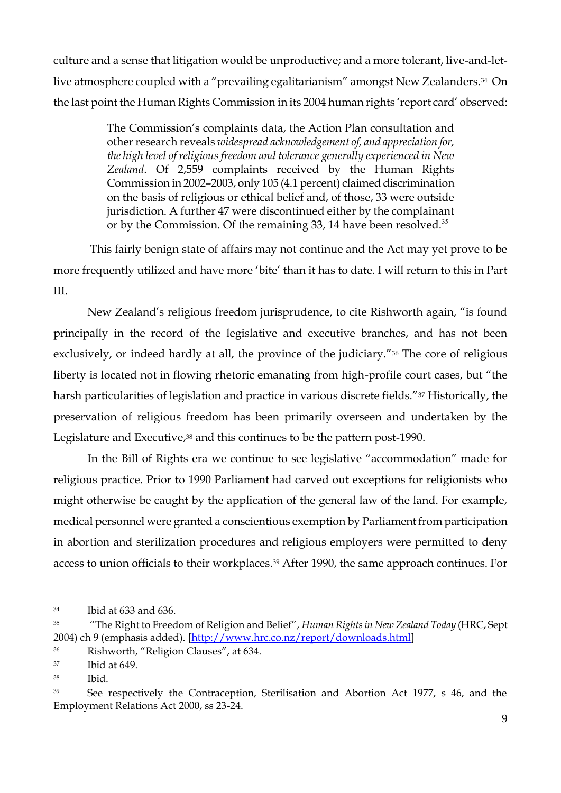culture and a sense that litigation would be unproductive; and a more tolerant, live-and-letlive atmosphere coupled with a "prevailing egalitarianism" amongst New Zealanders.<sup>34</sup> On the last point the Human Rights Commission in its 2004 human rights 'report card' observed:

> The Commission's complaints data, the Action Plan consultation and other research reveals *widespread acknowledgement of, and appreciation for, the high level of religious freedom and tolerance generally experienced in New Zealand*. Of 2,559 complaints received by the Human Rights Commission in 2002–2003, only 105 (4.1 percent) claimed discrimination on the basis of religious or ethical belief and, of those, 33 were outside jurisdiction. A further 47 were discontinued either by the complainant or by the Commission. Of the remaining 33, 14 have been resolved.<sup>35</sup>

This fairly benign state of affairs may not continue and the Act may yet prove to be more frequently utilized and have more ‗bite' than it has to date. I will return to this in Part III.

New Zealand's religious freedom jurisprudence, to cite Rishworth again, "is found principally in the record of the legislative and executive branches, and has not been exclusively, or indeed hardly at all, the province of the judiciary."<sup>36</sup> The core of religious liberty is located not in flowing rhetoric emanating from high-profile court cases, but "the harsh particularities of legislation and practice in various discrete fields."<sup>37</sup> Historically, the preservation of religious freedom has been primarily overseen and undertaken by the Legislature and Executive,<sup>38</sup> and this continues to be the pattern post-1990.

In the Bill of Rights era we continue to see legislative "accommodation" made for religious practice. Prior to 1990 Parliament had carved out exceptions for religionists who might otherwise be caught by the application of the general law of the land. For example, medical personnel were granted a conscientious exemption by Parliament from participation in abortion and sterilization procedures and religious employers were permitted to deny access to union officials to their workplaces.<sup>39</sup> After 1990, the same approach continues. For

<sup>34</sup> Ibid at 633 and 636.

<sup>&</sup>lt;sup>35</sup> The Right to Freedom of Religion and Belief", *Human Rights in New Zealand Today* (HRC, Sept) 2004) ch 9 (emphasis added). [\[http://www.hrc.co.nz/report/downloads.html\]](http://www.hrc.co.nz/report/downloads.html)

<sup>&</sup>lt;sup>36</sup> Rishworth, "Religion Clauses", at 634.

<sup>37</sup> Ibid at 649.

<sup>38</sup> Ibid.

<sup>&</sup>lt;sup>39</sup> See respectively the Contraception, Sterilisation and Abortion Act 1977, s 46, and the Employment Relations Act 2000, ss 23-24.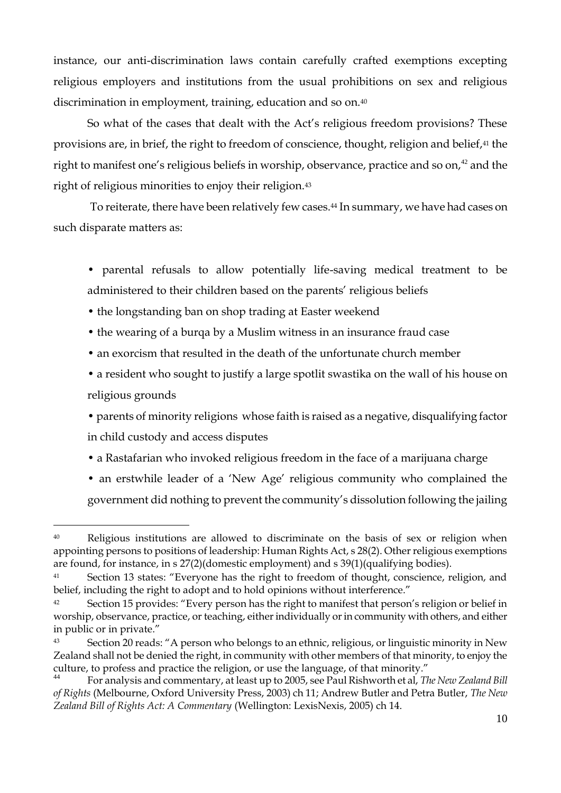instance, our anti-discrimination laws contain carefully crafted exemptions excepting religious employers and institutions from the usual prohibitions on sex and religious discrimination in employment, training, education and so on.<sup>40</sup>

So what of the cases that dealt with the Act's religious freedom provisions? These provisions are, in brief, the right to freedom of conscience, thought, religion and belief,<sup>41</sup> the right to manifest one's religious beliefs in worship, observance, practice and so on, $42$  and the right of religious minorities to enjoy their religion.<sup>43</sup>

To reiterate, there have been relatively few cases.<sup>44</sup> In summary, we have had cases on such disparate matters as:

- parental refusals to allow potentially life-saving medical treatment to be administered to their children based on the parents' religious beliefs
- the longstanding ban on shop trading at Easter weekend

 $\overline{a}$ 

- the wearing of a burqa by a Muslim witness in an insurance fraud case
- an exorcism that resulted in the death of the unfortunate church member
- a resident who sought to justify a large spotlit swastika on the wall of his house on religious grounds

• parents of minority religions whose faith is raised as a negative, disqualifying factor in child custody and access disputes

- a Rastafarian who invoked religious freedom in the face of a marijuana charge
- an erstwhile leader of a 'New Age' religious community who complained the government did nothing to prevent the community's dissolution following the jailing

<sup>40</sup> Religious institutions are allowed to discriminate on the basis of sex or religion when appointing persons to positions of leadership: Human Rights Act, s 28(2). Other religious exemptions are found, for instance, in s 27(2)(domestic employment) and s 39(1)(qualifying bodies).

<sup>&</sup>lt;sup>41</sup> Section 13 states: "Everyone has the right to freedom of thought, conscience, religion, and belief, including the right to adopt and to hold opinions without interference."

Section 15 provides: "Every person has the right to manifest that person's religion or belief in worship, observance, practice, or teaching, either individually or in community with others, and either in public or in private."

<sup>43</sup> Section 20 reads: "A person who belongs to an ethnic, religious, or linguistic minority in New Zealand shall not be denied the right, in community with other members of that minority, to enjoy the culture, to profess and practice the religion, or use the language, of that minority."

<sup>44</sup> For analysis and commentary, at least up to 2005, see Paul Rishworth et al, *The New Zealand Bill of Rights* (Melbourne, Oxford University Press, 2003) ch 11; Andrew Butler and Petra Butler, *The New Zealand Bill of Rights Act: A Commentary* (Wellington: LexisNexis, 2005) ch 14.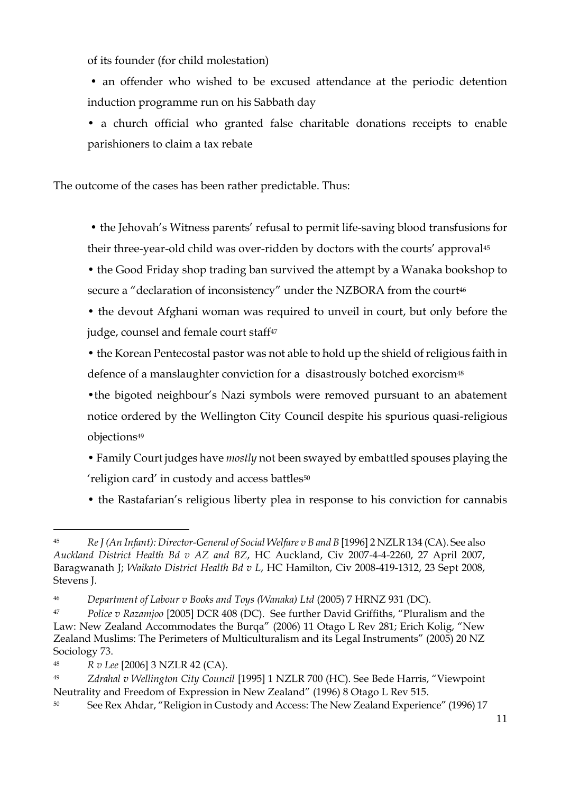of its founder (for child molestation)

• an offender who wished to be excused attendance at the periodic detention induction programme run on his Sabbath day

• a church official who granted false charitable donations receipts to enable parishioners to claim a tax rebate

The outcome of the cases has been rather predictable. Thus:

• the Jehovah's Witness parents' refusal to permit life-saving blood transfusions for their three-year-old child was over-ridden by doctors with the courts' approval<sup>45</sup>

• the Good Friday shop trading ban survived the attempt by a Wanaka bookshop to secure a "declaration of inconsistency" under the NZBORA from the court<sup>46</sup>

• the devout Afghani woman was required to unveil in court, but only before the judge, counsel and female court staff<sup>47</sup>

• the Korean Pentecostal pastor was not able to hold up the shield of religious faith in defence of a manslaughter conviction for a disastrously botched exorcism<sup>48</sup>

•the bigoted neighbour's Nazi symbols were removed pursuant to an abatement notice ordered by the Wellington City Council despite his spurious quasi-religious objections<sup>49</sup>

- Family Court judges have *mostly* not been swayed by embattled spouses playing the 'religion card' in custody and access battles<sup>50</sup>
- the Rastafarian's religious liberty plea in response to his conviction for cannabis

 $\overline{a}$ <sup>45</sup> *Re J (An Infant): Director-General of Social Welfare v B and B* [1996] 2 NZLR 134 (CA). See also *Auckland District Health Bd v AZ and BZ*, HC Auckland, Civ 2007-4-4-2260, 27 April 2007, Baragwanath J; *Waikato District Health Bd v L*, HC Hamilton, Civ 2008-419-1312, 23 Sept 2008, Stevens J.

<sup>46</sup> *Department of Labour v Books and Toys (Wanaka) Ltd* (2005) 7 HRNZ 931 (DC).

<sup>&</sup>lt;sup>47</sup> *Police v Razamjoo* [2005] DCR 408 (DC). See further David Griffiths, "Pluralism and the Law: New Zealand Accommodates the Burqa" (2006) 11 Otago L Rev 281; Erich Kolig, "New Zealand Muslims: The Perimeters of Multiculturalism and its Legal Instruments" (2005) 20 NZ Sociology 73.

<sup>48</sup> *R v Lee* [2006] 3 NZLR 42 (CA).

<sup>&</sup>lt;sup>49</sup> *Zdrahal v Wellington City Council* [1995] 1 NZLR 700 (HC). See Bede Harris, "Viewpoint Neutrality and Freedom of Expression in New Zealand" (1996) 8 Otago L Rev 515.

<sup>50</sup> See Rex Ahdar, "Religion in Custody and Access: The New Zealand Experience" (1996) 17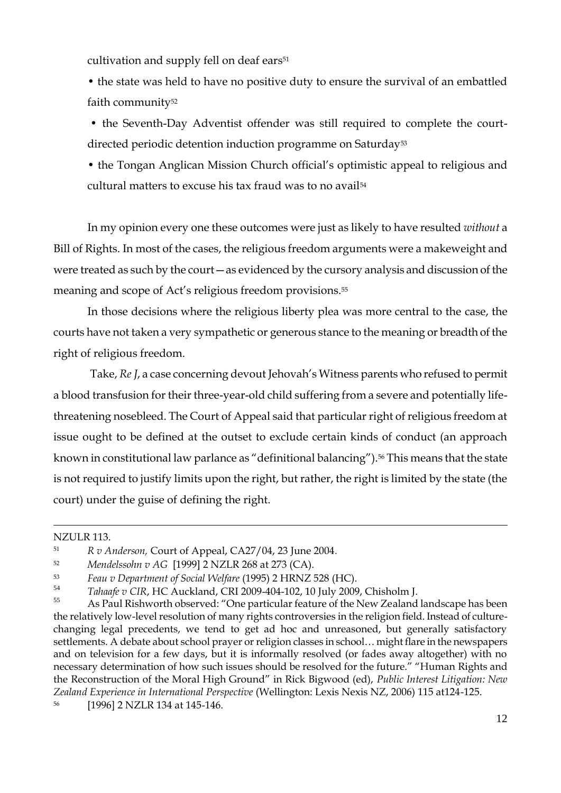cultivation and supply fell on deaf ears<sup>51</sup>

• the state was held to have no positive duty to ensure the survival of an embattled faith community<sup>52</sup>

• the Seventh-Day Adventist offender was still required to complete the courtdirected periodic detention induction programme on Saturday<sup>53</sup>

• the Tongan Anglican Mission Church official's optimistic appeal to religious and cultural matters to excuse his tax fraud was to no avail<sup>54</sup>

In my opinion every one these outcomes were just as likely to have resulted *without* a Bill of Rights. In most of the cases, the religious freedom arguments were a makeweight and were treated as such by the court—as evidenced by the cursory analysis and discussion of the meaning and scope of Act's religious freedom provisions.<sup>55</sup>

In those decisions where the religious liberty plea was more central to the case, the courts have not taken a very sympathetic or generous stance to the meaning or breadth of the right of religious freedom.

Take, *Re J*, a case concerning devout Jehovah's Witness parents who refused to permit a blood transfusion for their three-year-old child suffering from a severe and potentially lifethreatening nosebleed. The Court of Appeal said that particular right of religious freedom at issue ought to be defined at the outset to exclude certain kinds of conduct (an approach known in constitutional law parlance as "definitional balancing").<sup>56</sup> This means that the state is not required to justify limits upon the right, but rather, the right is limited by the state (the court) under the guise of defining the right.

#### NZULR 113.

<sup>51</sup> *R v Anderson,* Court of Appeal, CA27/04, 23 June 2004*.*

<sup>52</sup> *Mendelssohn v AG* [1999] 2 NZLR 268 at 273 (CA).

<sup>53</sup> *Feau v Department of Social Welfare* (1995) 2 HRNZ 528 (HC).

<sup>54</sup> *Tahaafe v CIR*, HC Auckland, CRI 2009-404-102, 10 July 2009, Chisholm J.

As Paul Rishworth observed: "One particular feature of the New Zealand landscape has been the relatively low-level resolution of many rights controversies in the religion field. Instead of culturechanging legal precedents, we tend to get ad hoc and unreasoned, but generally satisfactory settlements. A debate about school prayer or religion classes in school… might flare in the newspapers and on television for a few days, but it is informally resolved (or fades away altogether) with no necessary determination of how such issues should be resolved for the future." "Human Rights and the Reconstruction of the Moral High Ground" in Rick Bigwood (ed), *Public Interest Litigation: New Zealand Experience in International Perspective* (Wellington: Lexis Nexis NZ, 2006) 115 at124-125.

<sup>56</sup> [1996] 2 NZLR 134 at 145-146.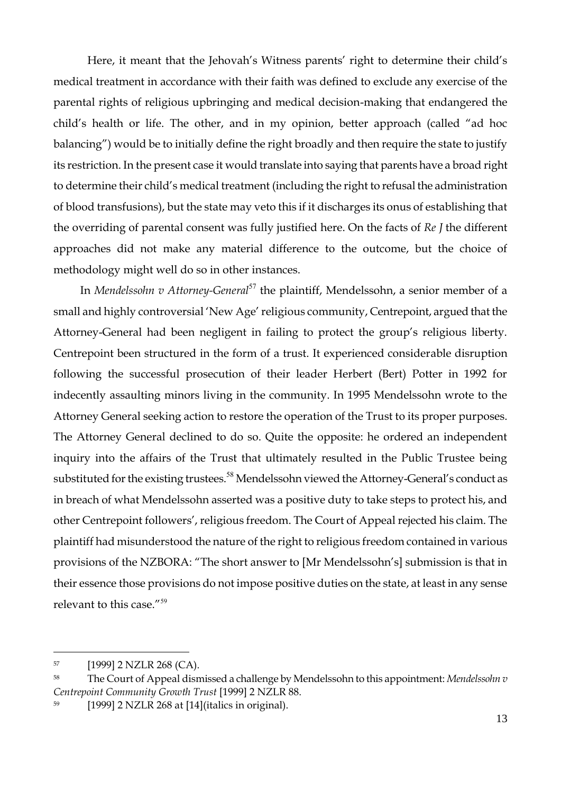Here, it meant that the Jehovah's Witness parents' right to determine their child's medical treatment in accordance with their faith was defined to exclude any exercise of the parental rights of religious upbringing and medical decision-making that endangered the child's health or life. The other, and in my opinion, better approach (called "ad hoc balancing") would be to initially define the right broadly and then require the state to justify its restriction. In the present case it would translate into saying that parents have a broad right to determine their child's medical treatment (including the right to refusal the administration of blood transfusions), but the state may veto this if it discharges its onus of establishing that the overriding of parental consent was fully justified here. On the facts of *Re J* the different approaches did not make any material difference to the outcome, but the choice of methodology might well do so in other instances.

In *Mendelssohn v Attorney-General*<sup>57</sup> the plaintiff, Mendelssohn, a senior member of a small and highly controversial 'New Age' religious community, Centrepoint, argued that the Attorney-General had been negligent in failing to protect the group's religious liberty. Centrepoint been structured in the form of a trust. It experienced considerable disruption following the successful prosecution of their leader Herbert (Bert) Potter in 1992 for indecently assaulting minors living in the community. In 1995 Mendelssohn wrote to the Attorney General seeking action to restore the operation of the Trust to its proper purposes. The Attorney General declined to do so. Quite the opposite: he ordered an independent inquiry into the affairs of the Trust that ultimately resulted in the Public Trustee being substituted for the existing trustees.<sup>58</sup> Mendelssohn viewed the Attorney-General's conduct as in breach of what Mendelssohn asserted was a positive duty to take steps to protect his, and other Centrepoint followers', religious freedom. The Court of Appeal rejected his claim. The plaintiff had misunderstood the nature of the right to religious freedom contained in various provisions of the NZBORA: "The short answer to [Mr Mendelssohn's] submission is that in their essence those provisions do not impose positive duties on the state, at least in any sense relevant to this case."<sup>59</sup>

<sup>57</sup> [1999] 2 NZLR 268 (CA).

<sup>58</sup> The Court of Appeal dismissed a challenge by Mendelssohn to this appointment: *Mendelssohn v Centrepoint Community Growth Trust* [1999] 2 NZLR 88.

<sup>59</sup> [1999] 2 NZLR 268 at [14](italics in original).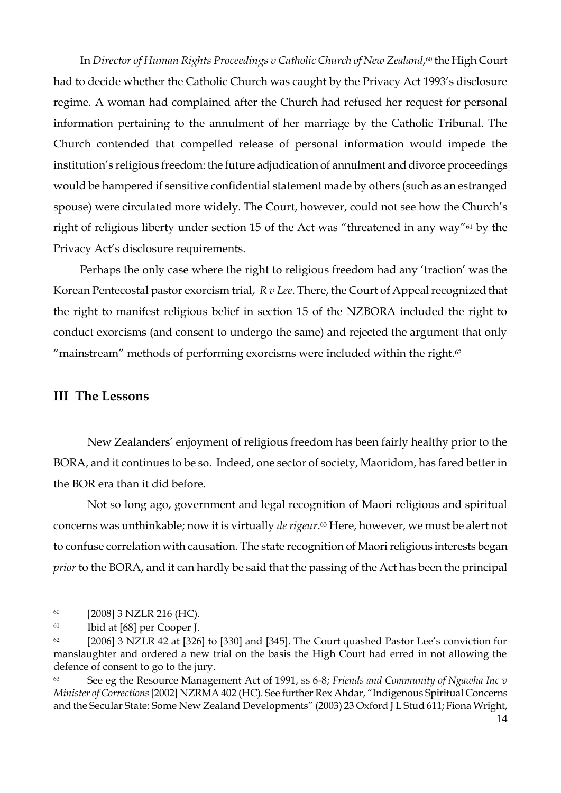In *Director of Human Rights Proceedings v Catholic Church of New Zealand*, <sup>60</sup> the High Court had to decide whether the Catholic Church was caught by the Privacy Act 1993's disclosure regime. A woman had complained after the Church had refused her request for personal information pertaining to the annulment of her marriage by the Catholic Tribunal. The Church contended that compelled release of personal information would impede the institution's religious freedom: the future adjudication of annulment and divorce proceedings would be hampered if sensitive confidential statement made by others (such as an estranged spouse) were circulated more widely. The Court, however, could not see how the Church's right of religious liberty under section 15 of the Act was "threatened in any way" $61$  by the Privacy Act's disclosure requirements.

Perhaps the only case where the right to religious freedom had any 'traction' was the Korean Pentecostal pastor exorcism trial, *R v Lee*. There, the Court of Appeal recognized that the right to manifest religious belief in section 15 of the NZBORA included the right to conduct exorcisms (and consent to undergo the same) and rejected the argument that only "mainstream" methods of performing exorcisms were included within the right. $62$ 

#### **III The Lessons**

New Zealanders' enjoyment of religious freedom has been fairly healthy prior to the BORA, and it continues to be so. Indeed, one sector of society, Maoridom, has fared better in the BOR era than it did before.

Not so long ago, government and legal recognition of Maori religious and spiritual concerns was unthinkable; now it is virtually *de rigeur*. <sup>63</sup> Here, however, we must be alert not to confuse correlation with causation. The state recognition of Maori religious interests began *prior* to the BORA, and it can hardly be said that the passing of the Act has been the principal

<sup>60</sup> [2008] 3 NZLR 216 (HC).

<sup>61</sup> Ibid at [68] per Cooper J.

 $62$  [2006] 3 NZLR 42 at [326] to [330] and [345]. The Court quashed Pastor Lee's conviction for manslaughter and ordered a new trial on the basis the High Court had erred in not allowing the defence of consent to go to the jury.

<sup>63</sup> See eg the Resource Management Act of 1991, ss 6-8; *Friends and Community of Ngawha Inc v Minister of Corrections* [2002] NZRMA 402 (HC). See further Rex Ahdar, "Indigenous Spiritual Concerns and the Secular State: Some New Zealand Developments" (2003) 23 Oxford J L Stud 611; Fiona Wright,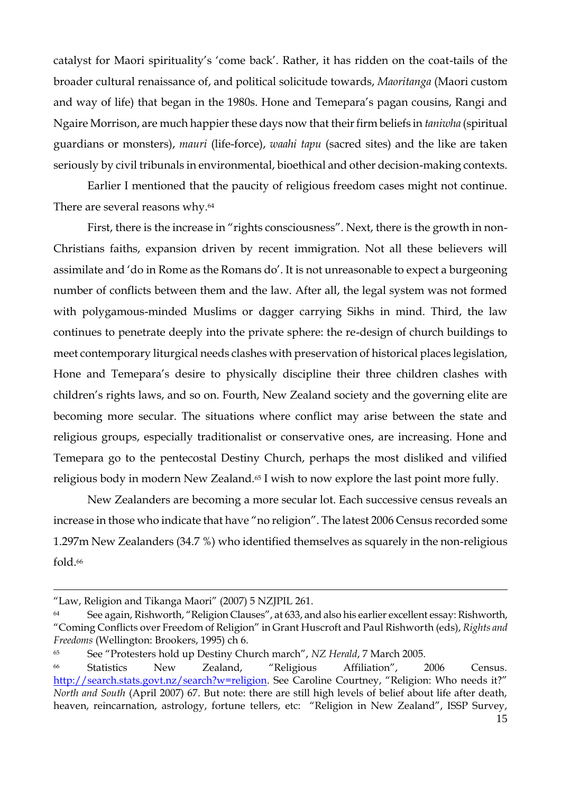catalyst for Maori spirituality's 'come back'. Rather, it has ridden on the coat-tails of the broader cultural renaissance of, and political solicitude towards, *Maoritanga* (Maori custom and way of life) that began in the 1980s. Hone and Temepara's pagan cousins, Rangi and Ngaire Morrison, are much happier these days now that their firm beliefs in *taniwha* (spiritual guardians or monsters), *mauri* (life-force), *waahi tapu* (sacred sites) and the like are taken seriously by civil tribunals in environmental, bioethical and other decision-making contexts.

Earlier I mentioned that the paucity of religious freedom cases might not continue. There are several reasons why.<sup>64</sup>

First, there is the increase in "rights consciousness". Next, there is the growth in non-Christians faiths, expansion driven by recent immigration. Not all these believers will assimilate and 'do in Rome as the Romans do'. It is not unreasonable to expect a burgeoning number of conflicts between them and the law. After all, the legal system was not formed with polygamous-minded Muslims or dagger carrying Sikhs in mind. Third, the law continues to penetrate deeply into the private sphere: the re-design of church buildings to meet contemporary liturgical needs clashes with preservation of historical places legislation, Hone and Temepara's desire to physically discipline their three children clashes with children's rights laws, and so on. Fourth, New Zealand society and the governing elite are becoming more secular. The situations where conflict may arise between the state and religious groups, especially traditionalist or conservative ones, are increasing. Hone and Temepara go to the pentecostal Destiny Church, perhaps the most disliked and vilified religious body in modern New Zealand.<sup>65</sup> I wish to now explore the last point more fully.

New Zealanders are becoming a more secular lot. Each successive census reveals an increase in those who indicate that have "no religion". The latest 2006 Census recorded some 1.297m New Zealanders (34.7 %) who identified themselves as squarely in the non-religious fold.<sup>66</sup>

<sup>&</sup>quot;Law, Religion and Tikanga Maori" (2007) 5 NZJPIL 261.

<sup>&</sup>lt;sup>64</sup> See again, Rishworth, "Religion Clauses", at 633, and also his earlier excellent essay: Rishworth, ―Coming Conflicts over Freedom of Religion‖ in Grant Huscroft and Paul Rishworth (eds), *Rights and Freedoms* (Wellington: Brookers, 1995) ch 6.

<sup>&</sup>lt;sup>65</sup> See "Protesters hold up Destiny Church march", *NZ Herald*, 7 March 2005.

<sup>&</sup>lt;sup>66</sup> Statistics New Zealand, "Religious Affiliation", 2006 Census. <http://search.stats.govt.nz/search?w=religion>. See Caroline Courtney, "Religion: Who needs it?" *North and South* (April 2007) 67. But note: there are still high levels of belief about life after death, heaven, reincarnation, astrology, fortune tellers, etc: "Religion in New Zealand", ISSP Survey,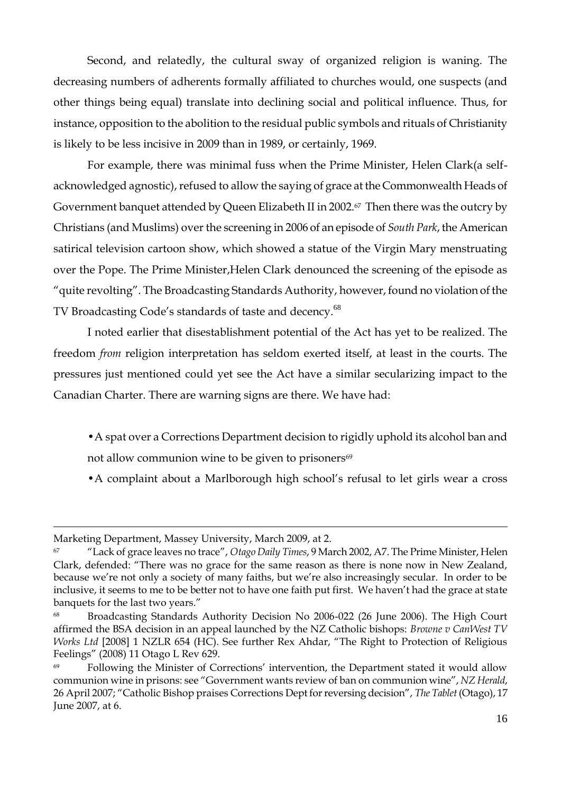Second, and relatedly, the cultural sway of organized religion is waning. The decreasing numbers of adherents formally affiliated to churches would, one suspects (and other things being equal) translate into declining social and political influence. Thus, for instance, opposition to the abolition to the residual public symbols and rituals of Christianity is likely to be less incisive in 2009 than in 1989, or certainly, 1969.

For example, there was minimal fuss when the Prime Minister, Helen Clark(a selfacknowledged agnostic), refused to allow the saying of grace at the Commonwealth Heads of Government banquet attended by Queen Elizabeth II in 2002.67 Then there was the outcry by Christians (and Muslims) over the screening in 2006 of an episode of *South Park*, the American satirical television cartoon show, which showed a statue of the Virgin Mary menstruating over the Pope. The Prime Minister,Helen Clark denounced the screening of the episode as "quite revolting". The Broadcasting Standards Authority, however, found no violation of the TV Broadcasting Code's standards of taste and decency.<sup>68</sup>

I noted earlier that disestablishment potential of the Act has yet to be realized. The freedom *from* religion interpretation has seldom exerted itself, at least in the courts. The pressures just mentioned could yet see the Act have a similar secularizing impact to the Canadian Charter. There are warning signs are there. We have had:

- •A spat over a Corrections Department decision to rigidly uphold its alcohol ban and not allow communion wine to be given to prisoners<sup>69</sup>
- •A complaint about a Marlborough high school's refusal to let girls wear a cross

Marketing Department, Massey University, March 2009, at 2.

<sup>67</sup> ―Lack of grace leaves no trace‖, *Otago Daily Times*, 9 March 2002, A7. The Prime Minister, Helen Clark, defended: "There was no grace for the same reason as there is none now in New Zealand, because we're not only a society of many faiths, but we're also increasingly secular. In order to be inclusive, it seems to me to be better not to have one faith put first. We haven't had the grace at state banquets for the last two years."

<sup>68</sup> Broadcasting Standards Authority Decision No 2006-022 (26 June 2006). The High Court affirmed the BSA decision in an appeal launched by the NZ Catholic bishops: *Browne v CanWest TV Works Ltd* [2008] 1 NZLR 654 (HC). See further Rex Ahdar, "The Right to Protection of Religious Feelings" (2008) 11 Otago L Rev 629.

<sup>&</sup>lt;sup>69</sup> Following the Minister of Corrections' intervention, the Department stated it would allow communion wine in prisons: see "Government wants review of ban on communion wine", *NZ Herald*, 26 April 2007; "Catholic Bishop praises Corrections Dept for reversing decision", *The Tablet* (Otago), 17 June 2007, at 6.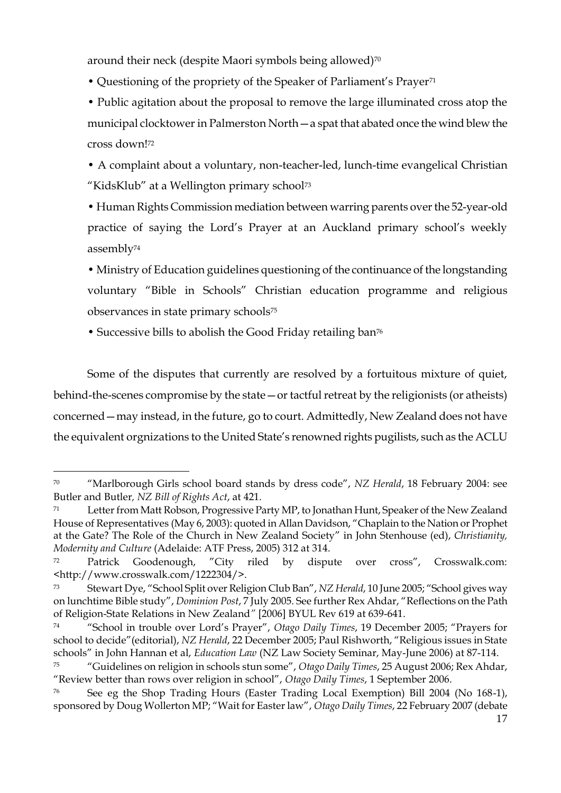around their neck (despite Maori symbols being allowed)<sup>70</sup>

• Questioning of the propriety of the Speaker of Parliament's Prayer<sup>71</sup>

• Public agitation about the proposal to remove the large illuminated cross atop the municipal clocktower in Palmerston North—a spat that abated once the wind blew the cross down!<sup>72</sup>

• A complaint about a voluntary, non-teacher-led, lunch-time evangelical Christian "KidsKlub" at a Wellington primary school<sup>73</sup>

• Human Rights Commission mediation between warring parents over the 52-year-old practice of saying the Lord's Prayer at an Auckland primary school's weekly assembly<sup>74</sup>

• Ministry of Education guidelines questioning of the continuance of the longstanding voluntary "Bible in Schools" Christian education programme and religious observances in state primary schools<sup>75</sup>

• Successive bills to abolish the Good Friday retailing ban<sup>76</sup>

 $\overline{a}$ 

Some of the disputes that currently are resolved by a fortuitous mixture of quiet, behind-the-scenes compromise by the state—or tactful retreat by the religionists (or atheists) concerned—may instead, in the future, go to court. Admittedly, New Zealand does not have the equivalent orgnizations to the United State's renowned rights pugilists, such as the ACLU

<sup>&</sup>lt;sup>70</sup> 
"Marlborough Girls school board stands by dress code", *NZ Herald*, 18 February 2004: see Butler and Butler*, NZ Bill of Rights Act*, at 421.

<sup>&</sup>lt;sup>71</sup> Letter from Matt Robson, Progressive Party MP, to Jonathan Hunt, Speaker of the New Zealand House of Representatives (May 6, 2003): quoted in Allan Davidson, "Chaplain to the Nation or Prophet at the Gate? The Role of the Church in New Zealand Society" in John Stenhouse (ed), *Christianity*, *Modernity and Culture* (Adelaide: ATF Press, 2005) 312 at 314.

<sup>&</sup>lt;sup>72</sup> Patrick Goodenough, "City riled by dispute over cross", Crosswalk.com: <http://www.crosswalk.com/1222304/>.

<sup>&</sup>lt;sup>73</sup> Stewart Dye, "School Split over Religion Club Ban", *NZ Herald*, 10 June 2005; "School gives way on lunchtime Bible study", *Dominion Post*, 7 July 2005. See further Rex Ahdar, "Reflections on the Path of Religion-State Relations in New Zealand*"* [2006] BYUL Rev 619 at 639-641.

<sup>&</sup>lt;sup>74</sup> "School in trouble over Lord's Prayer", *Otago Daily Times*, 19 December 2005; "Prayers for school to decide" (editorial), *NZ Herald*, 22 December 2005; Paul Rishworth, "Religious issues in State schools" in John Hannan et al, *Education Law* (NZ Law Society Seminar, May-June 2006) at 87-114.

<sup>75</sup> ―Guidelines on religion in schools stun some‖, *Otago Daily Times*, 25 August 2006; Rex Ahdar, ―Review better than rows over religion in school‖, *Otago Daily Times*, 1 September 2006.

<sup>76</sup> See eg the Shop Trading Hours (Easter Trading Local Exemption) Bill 2004 (No 168-1), sponsored by Doug Wollerton MP; "Wait for Easter law", *Otago Daily Times*, 22 February 2007 (debate